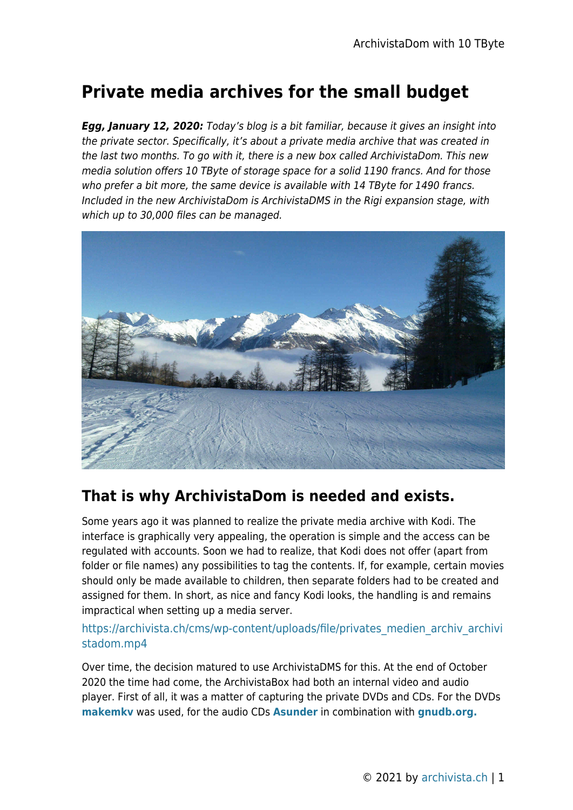# **Private media archives for the small budget**

*Egg, January 12, 2020:* Today's blog is a bit familiar, because it gives an insight into the private sector. Specifically, it's about a private media archive that was created in the last two months. To go with it, there is a new box called ArchivistaDom. This new media solution offers 10 TByte of storage space for a solid 1190 francs. And for those who prefer a bit more, the same device is available with 14 TByte for 1490 francs. Included in the new ArchivistaDom is ArchivistaDMS in the Rigi expansion stage, with which up to 30,000 files can be managed.



## **That is why ArchivistaDom is needed and exists.**

Some years ago it was planned to realize the private media archive with Kodi. The interface is graphically very appealing, the operation is simple and the access can be regulated with accounts. Soon we had to realize, that Kodi does not offer (apart from folder or file names) any possibilities to tag the contents. If, for example, certain movies should only be made available to children, then separate folders had to be created and assigned for them. In short, as nice and fancy Kodi looks, the handling is and remains impractical when setting up a media server.

#### [https://archivista.ch/cms/wp-content/uploads/file/privates\\_medien\\_archiv\\_archivi](https://archivista.ch/cms/wp-content/uploads/file/privates_medien_archiv_archivistadom.mp4) [stadom.mp4](https://archivista.ch/cms/wp-content/uploads/file/privates_medien_archiv_archivistadom.mp4)

Over time, the decision matured to use ArchivistaDMS for this. At the end of October 2020 the time had come, the ArchivistaBox had both an internal video and audio player. First of all, it was a matter of capturing the private DVDs and CDs. For the DVDs **[makemkv](https://www.makemkv.com/)** was used, for the audio CDs **[Asunder](https://de.wikipedia.org/wiki/Asunder)** in combination with **[gnudb.org.](http://gnudb.org/)**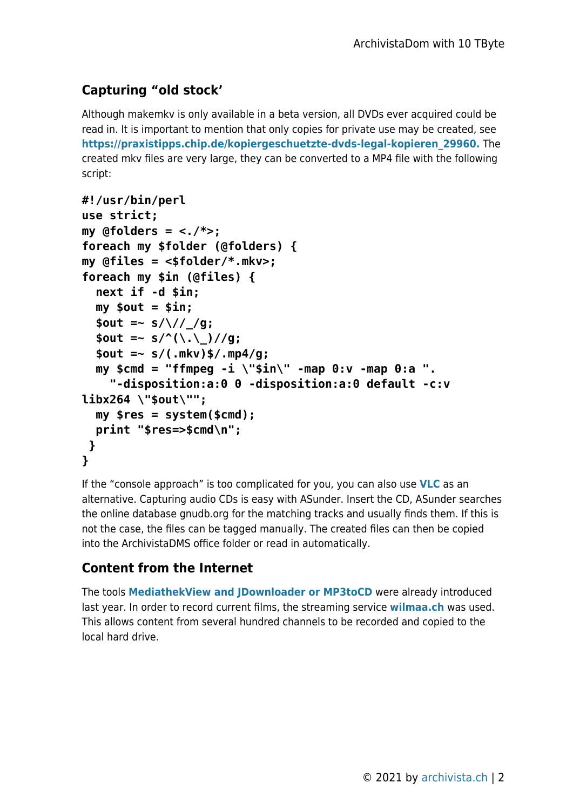## **Capturing "old stock'**

Although makemkv is only available in a beta version, all DVDs ever acquired could be read in. It is important to mention that only copies for private use may be created, see **[https://praxistipps.chip.de/kopiergeschuetzte-dvds-legal-kopieren\\_29960.](https://praxistipps.chip.de/kopiergeschuetzte-dvds-legal-kopieren_29960.)** The created mkv files are very large, they can be converted to a MP4 file with the following script:

```
#!/usr/bin/perl
use strict;
my @folders = <./*>;
foreach my $folder (@folders) {
my @files = <$folder/*.mkv>;
foreach my $in (@files) {
   next if -d $in;
   my $out = $in;
  $out =~s/\sqrt{7/g};
  $out =~ s/^( \, \ . \, \ ) //g; $out =~ s/(.mkv)$/.mp4/g;
   my $cmd = "ffmpeg -i \"$in\" -map 0:v -map 0:a ".
     "-disposition:a:0 0 -disposition:a:0 default -c:v
libx264 \"$out\"";
   my $res = system($cmd);
   print "$res=>$cmd\n";
 }
}
```
If the "console approach" is too complicated for you, you can also use **[VLC](https://www.videolan.org/vlc/)** as an alternative. Capturing audio CDs is easy with ASunder. Insert the CD, ASunder searches the online database gnudb.org for the matching tracks and usually finds them. If this is not the case, the files can be tagged manually. The created files can then be copied into the ArchivistaDMS office folder or read in automatically.

## **Content from the Internet**

The tools **[MediathekView and JDownloader or MP3toCD](https://archivista.ch/cms/en/news/year-2020/movies-designs-and-more/)** were already introduced last year. In order to record current films, the streaming service **[wilmaa.ch](http://wilmaa.ch)** was used. This allows content from several hundred channels to be recorded and copied to the local hard drive.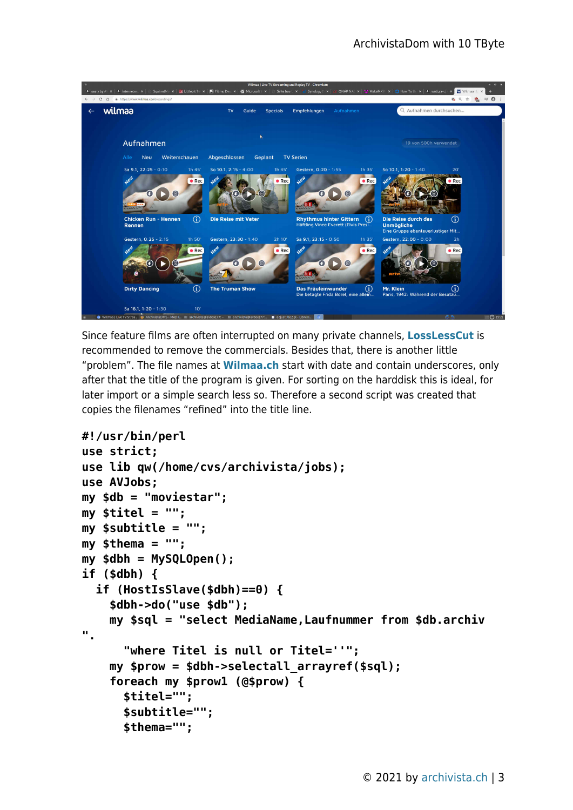

Since feature films are often interrupted on many private channels, **[LossLessCut](https://www.mifi.no/losslesscut/)** is recommended to remove the commercials. Besides that, there is another little "problem". The file names at **[Wilmaa.ch](http://Wilmaa.ch)** start with date and contain underscores, only after that the title of the program is given. For sorting on the harddisk this is ideal, for later import or a simple search less so. Therefore a second script was created that copies the filenames "refined" into the title line.

```
#!/usr/bin/perl
```

```
use strict;
use lib qw(/home/cvs/archivista/jobs);
use AVJobs;
my $db = "moviestar";
my $titel = "";
my $subtitle = "";
my $thema = "";
my $dbh = MySQLOpen();
if ($dbh) {
   if (HostIsSlave($dbh)==0) {
     $dbh->do("use $db");
     my $sql = "select MediaName,Laufnummer from $db.archiv
".
       "where Titel is null or Titel=''";
     my $prow = $dbh->selectall_arrayref($sql);
     foreach my $prow1 (@$prow) {
       $titel="";
       $subtitle="";
       $thema="";
```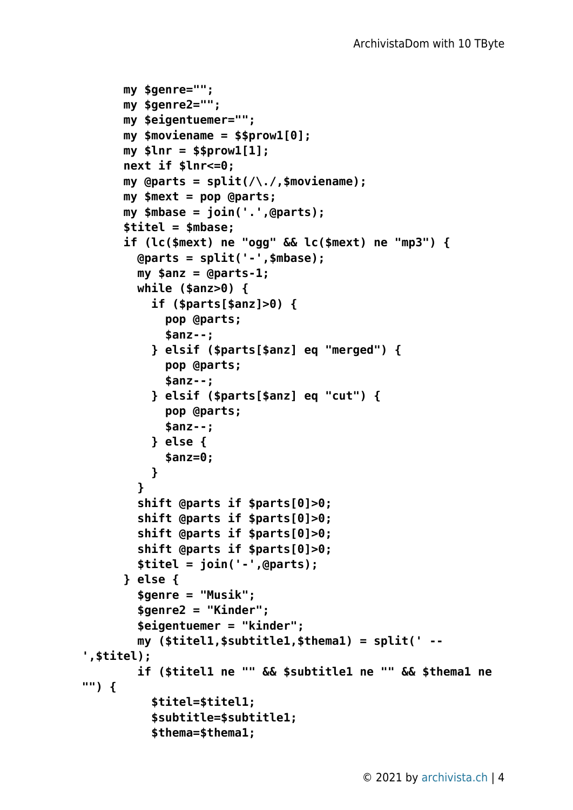```
 my $genre="";
       my $genre2="";
       my $eigentuemer="";
       my $moviename = $$prow1[0];
       my $lnr = $$prow1[1];
       next if $lnr<=0;
       my @parts = split(/\./,$moviename);
       my $mext = pop @parts;
       my $mbase = join('.',@parts);
       $titel = $mbase;
       if (lc($mext) ne "ogg" && lc($mext) ne "mp3") {
         @parts = split('-',$mbase);
         my $anz = @parts-1;
         while ($anz>0) {
           if ($parts[$anz]>0) {
             pop @parts;
             $anz--;
           } elsif ($parts[$anz] eq "merged") {
             pop @parts;
             $anz--;
           } elsif ($parts[$anz] eq "cut") {
             pop @parts;
             $anz--;
           } else {
             $anz=0;
 }
         }
         shift @parts if $parts[0]>0;
         shift @parts if $parts[0]>0;
         shift @parts if $parts[0]>0;
         shift @parts if $parts[0]>0;
         $titel = join('-',@parts);
       } else {
         $genre = "Musik";
         $genre2 = "Kinder";
         $eigentuemer = "kinder";
         my ($titel1,$subtitle1,$thema1) = split(' --
',$titel);
         if ($titel1 ne "" && $subtitle1 ne "" && $thema1 ne
"") {
           $titel=$titel1;
           $subtitle=$subtitle1;
           $thema=$thema1;
```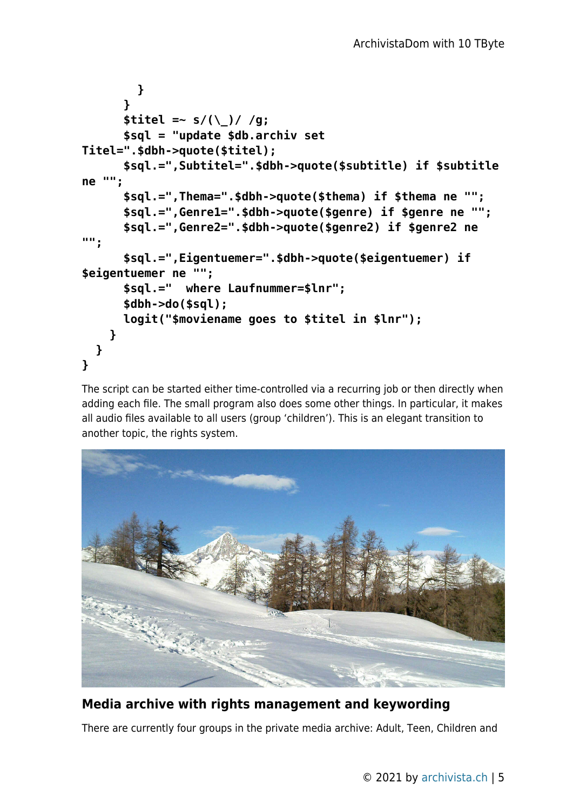```
 }
       }
      $titel =~ s/(\ )/ /g;
       $sql = "update $db.archiv set
Titel=".$dbh->quote($titel);
       $sql.=",Subtitel=".$dbh->quote($subtitle) if $subtitle
ne "";
       $sql.=",Thema=".$dbh->quote($thema) if $thema ne "";
       $sql.=",Genre1=".$dbh->quote($genre) if $genre ne "";
       $sql.=",Genre2=".$dbh->quote($genre2) if $genre2 ne
"";
       $sql.=",Eigentuemer=".$dbh->quote($eigentuemer) if
$eigentuemer ne "";
       $sql.=" where Laufnummer=$lnr";
       $dbh->do($sql);
       logit("$moviename goes to $titel in $lnr");
     }
   }
}
```
The script can be started either time-controlled via a recurring job or then directly when adding each file. The small program also does some other things. In particular, it makes all audio files available to all users (group 'children'). This is an elegant transition to another topic, the rights system.



### **Media archive with rights management and keywording**

There are currently four groups in the private media archive: Adult, Teen, Children and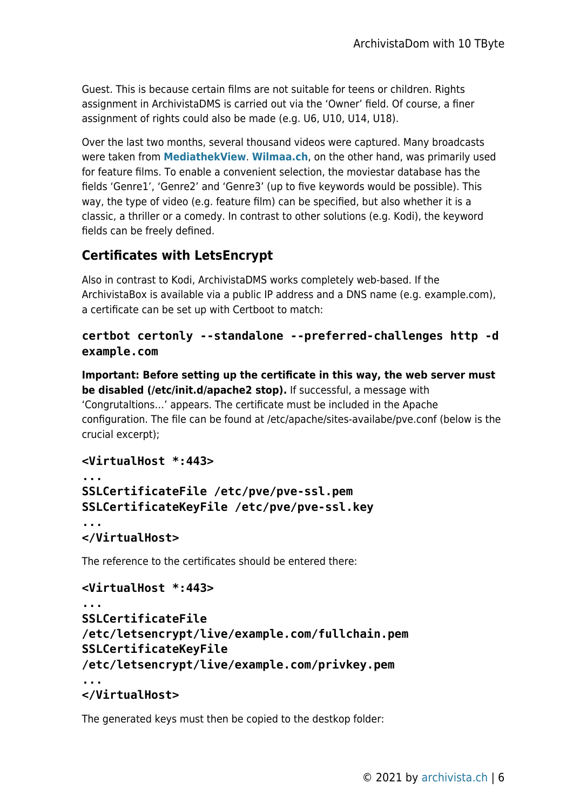Guest. This is because certain films are not suitable for teens or children. Rights assignment in ArchivistaDMS is carried out via the 'Owner' field. Of course, a finer assignment of rights could also be made (e.g. U6, U10, U14, U18).

Over the last two months, several thousand videos were captured. Many broadcasts were taken from **[MediathekView](https://mediathekview.de/)**. **[Wilmaa.ch](http://Wilmaa.ch)**, on the other hand, was primarily used for feature films. To enable a convenient selection, the moviestar database has the fields 'Genre1', 'Genre2' and 'Genre3' (up to five keywords would be possible). This way, the type of video (e.g. feature film) can be specified, but also whether it is a classic, a thriller or a comedy. In contrast to other solutions (e.g. Kodi), the keyword fields can be freely defined.

### **Certificates with LetsEncrypt**

Also in contrast to Kodi, ArchivistaDMS works completely web-based. If the ArchivistaBox is available via a public IP address and a DNS name (e.g. example.com), a certificate can be set up with Certboot to match:

#### **certbot certonly --standalone --preferred-challenges http -d example.com**

**Important: Before setting up the certificate in this way, the web server must be disabled (/etc/init.d/apache2 stop).** If successful, a message with 'Congrutaltions…' appears. The certificate must be included in the Apache configuration. The file can be found at /etc/apache/sites-availabe/pve.conf (below is the crucial excerpt);

#### **<VirtualHost \*:443>**

```
...
SSLCertificateFile /etc/pve/pve-ssl.pem
SSLCertificateKeyFile /etc/pve/pve-ssl.key
...
</VirtualHost>
```
The reference to the certificates should be entered there:

#### **<VirtualHost \*:443>**

```
...
SSLCertificateFile
/etc/letsencrypt/live/example.com/fullchain.pem
SSLCertificateKeyFile
/etc/letsencrypt/live/example.com/privkey.pem
...
```
#### **</VirtualHost>**

The generated keys must then be copied to the destkop folder: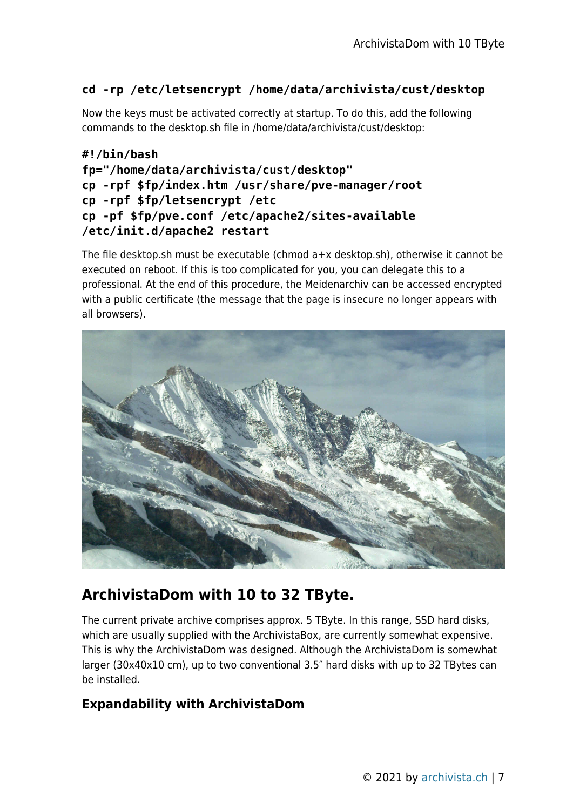#### **cd -rp /etc/letsencrypt /home/data/archivista/cust/desktop**

Now the keys must be activated correctly at startup. To do this, add the following commands to the desktop.sh file in /home/data/archivista/cust/desktop:

```
#!/bin/bash
fp="/home/data/archivista/cust/desktop"
cp -rpf $fp/index.htm /usr/share/pve-manager/root
cp -rpf $fp/letsencrypt /etc
cp -pf $fp/pve.conf /etc/apache2/sites-available
/etc/init.d/apache2 restart
```
The file desktop.sh must be executable (chmod a+x desktop.sh), otherwise it cannot be executed on reboot. If this is too complicated for you, you can delegate this to a professional. At the end of this procedure, the Meidenarchiv can be accessed encrypted with a public certificate (the message that the page is insecure no longer appears with all browsers).



## **ArchivistaDom with 10 to 32 TByte.**

The current private archive comprises approx. 5 TByte. In this range, SSD hard disks, which are usually supplied with the ArchivistaBox, are currently somewhat expensive. This is why the ArchivistaDom was designed. Although the ArchivistaDom is somewhat larger (30x40x10 cm), up to two conventional 3.5″ hard disks with up to 32 TBytes can be installed.

## **Expandability with ArchivistaDom**